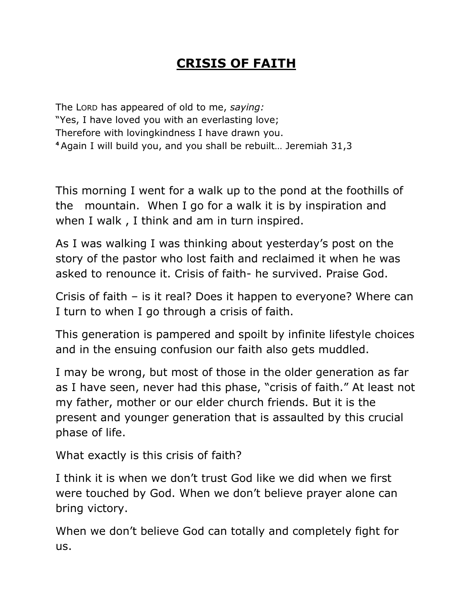## **CRISIS OF FAITH**

The LORD has appeared of old to me, *saying:* "Yes, I have loved you with an everlasting love; Therefore with lovingkindness I have drawn you. **<sup>4</sup>** Again I will build you, and you shall be rebuilt… Jeremiah 31,3

This morning I went for a walk up to the pond at the foothills of the mountain. When I go for a walk it is by inspiration and when I walk , I think and am in turn inspired.

As I was walking I was thinking about yesterday's post on the story of the pastor who lost faith and reclaimed it when he was asked to renounce it. Crisis of faith- he survived. Praise God.

Crisis of faith – is it real? Does it happen to everyone? Where can I turn to when I go through a crisis of faith.

This generation is pampered and spoilt by infinite lifestyle choices and in the ensuing confusion our faith also gets muddled.

I may be wrong, but most of those in the older generation as far as I have seen, never had this phase, "crisis of faith." At least not my father, mother or our elder church friends. But it is the present and younger generation that is assaulted by this crucial phase of life.

What exactly is this crisis of faith?

I think it is when we don"t trust God like we did when we first were touched by God. When we don"t believe prayer alone can bring victory.

When we don"t believe God can totally and completely fight for us.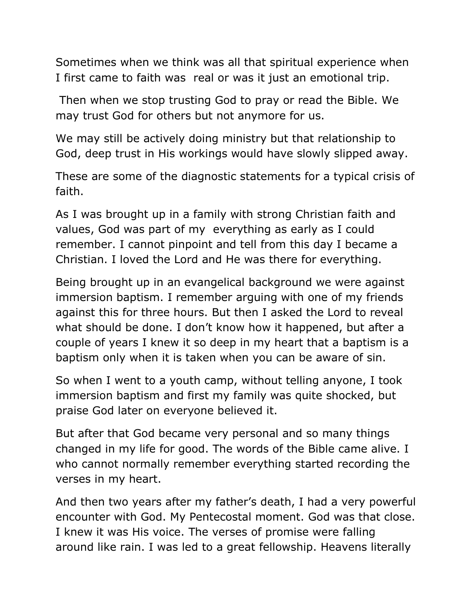Sometimes when we think was all that spiritual experience when I first came to faith was real or was it just an emotional trip.

Then when we stop trusting God to pray or read the Bible. We may trust God for others but not anymore for us.

We may still be actively doing ministry but that relationship to God, deep trust in His workings would have slowly slipped away.

These are some of the diagnostic statements for a typical crisis of faith.

As I was brought up in a family with strong Christian faith and values, God was part of my everything as early as I could remember. I cannot pinpoint and tell from this day I became a Christian. I loved the Lord and He was there for everything.

Being brought up in an evangelical background we were against immersion baptism. I remember arguing with one of my friends against this for three hours. But then I asked the Lord to reveal what should be done. I don't know how it happened, but after a couple of years I knew it so deep in my heart that a baptism is a baptism only when it is taken when you can be aware of sin.

So when I went to a youth camp, without telling anyone, I took immersion baptism and first my family was quite shocked, but praise God later on everyone believed it.

But after that God became very personal and so many things changed in my life for good. The words of the Bible came alive. I who cannot normally remember everything started recording the verses in my heart.

And then two years after my father"s death, I had a very powerful encounter with God. My Pentecostal moment. God was that close. I knew it was His voice. The verses of promise were falling around like rain. I was led to a great fellowship. Heavens literally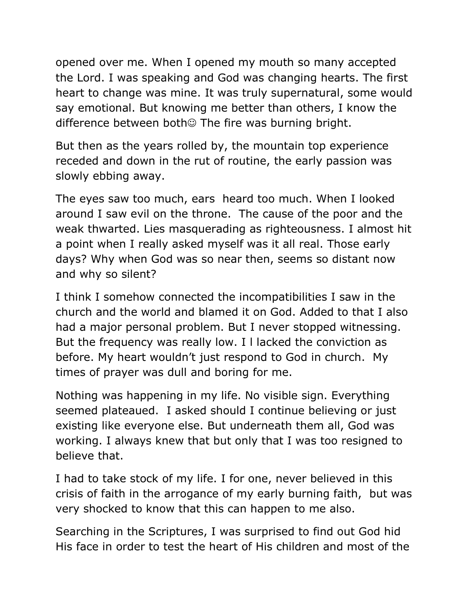opened over me. When I opened my mouth so many accepted the Lord. I was speaking and God was changing hearts. The first heart to change was mine. It was truly supernatural, some would say emotional. But knowing me better than others, I know the difference between both $\odot$  The fire was burning bright.

But then as the years rolled by, the mountain top experience receded and down in the rut of routine, the early passion was slowly ebbing away.

The eyes saw too much, ears heard too much. When I looked around I saw evil on the throne. The cause of the poor and the weak thwarted. Lies masquerading as righteousness. I almost hit a point when I really asked myself was it all real. Those early days? Why when God was so near then, seems so distant now and why so silent?

I think I somehow connected the incompatibilities I saw in the church and the world and blamed it on God. Added to that I also had a major personal problem. But I never stopped witnessing. But the frequency was really low. I l lacked the conviction as before. My heart wouldn"t just respond to God in church. My times of prayer was dull and boring for me.

Nothing was happening in my life. No visible sign. Everything seemed plateaued. I asked should I continue believing or just existing like everyone else. But underneath them all, God was working. I always knew that but only that I was too resigned to believe that.

I had to take stock of my life. I for one, never believed in this crisis of faith in the arrogance of my early burning faith, but was very shocked to know that this can happen to me also.

Searching in the Scriptures, I was surprised to find out God hid His face in order to test the heart of His children and most of the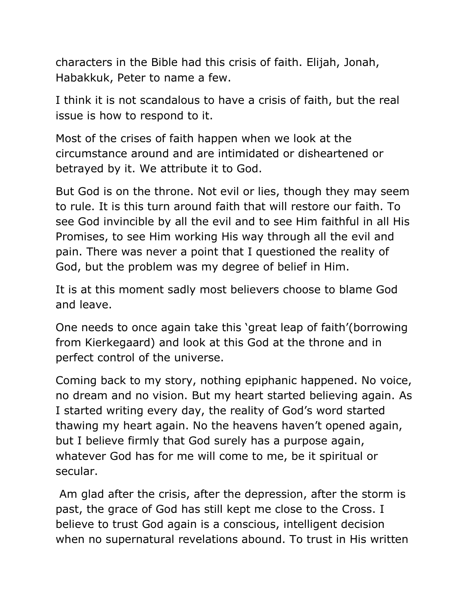characters in the Bible had this crisis of faith. Elijah, Jonah, Habakkuk, Peter to name a few.

I think it is not scandalous to have a crisis of faith, but the real issue is how to respond to it.

Most of the crises of faith happen when we look at the circumstance around and are intimidated or disheartened or betrayed by it. We attribute it to God.

But God is on the throne. Not evil or lies, though they may seem to rule. It is this turn around faith that will restore our faith. To see God invincible by all the evil and to see Him faithful in all His Promises, to see Him working His way through all the evil and pain. There was never a point that I questioned the reality of God, but the problem was my degree of belief in Him.

It is at this moment sadly most believers choose to blame God and leave.

One needs to once again take this "great leap of faith"(borrowing from Kierkegaard) and look at this God at the throne and in perfect control of the universe.

Coming back to my story, nothing epiphanic happened. No voice, no dream and no vision. But my heart started believing again. As I started writing every day, the reality of God"s word started thawing my heart again. No the heavens haven"t opened again, but I believe firmly that God surely has a purpose again, whatever God has for me will come to me, be it spiritual or secular.

Am glad after the crisis, after the depression, after the storm is past, the grace of God has still kept me close to the Cross. I believe to trust God again is a conscious, intelligent decision when no supernatural revelations abound. To trust in His written